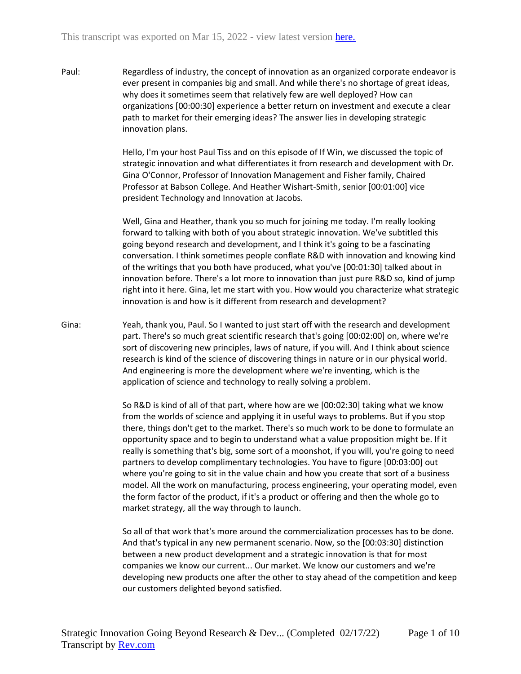Paul: Regardless of industry, the concept of innovation as an organized corporate endeavor is ever present in companies big and small. And while there's no shortage of great ideas, why does it sometimes seem that relatively few are well deployed? How can organizations [00:00:30] experience a better return on investment and execute a clear path to market for their emerging ideas? The answer lies in developing strategic innovation plans.

> Hello, I'm your host Paul Tiss and on this episode of If Win, we discussed the topic of strategic innovation and what differentiates it from research and development with Dr. Gina O'Connor, Professor of Innovation Management and Fisher family, Chaired Professor at Babson College. And Heather Wishart-Smith, senior [00:01:00] vice president Technology and Innovation at Jacobs.

Well, Gina and Heather, thank you so much for joining me today. I'm really looking forward to talking with both of you about strategic innovation. We've subtitled this going beyond research and development, and I think it's going to be a fascinating conversation. I think sometimes people conflate R&D with innovation and knowing kind of the writings that you both have produced, what you've [00:01:30] talked about in innovation before. There's a lot more to innovation than just pure R&D so, kind of jump right into it here. Gina, let me start with you. How would you characterize what strategic innovation is and how is it different from research and development?

Gina: Yeah, thank you, Paul. So I wanted to just start off with the research and development part. There's so much great scientific research that's going [00:02:00] on, where we're sort of discovering new principles, laws of nature, if you will. And I think about science research is kind of the science of discovering things in nature or in our physical world. And engineering is more the development where we're inventing, which is the application of science and technology to really solving a problem.

> So R&D is kind of all of that part, where how are we [00:02:30] taking what we know from the worlds of science and applying it in useful ways to problems. But if you stop there, things don't get to the market. There's so much work to be done to formulate an opportunity space and to begin to understand what a value proposition might be. If it really is something that's big, some sort of a moonshot, if you will, you're going to need partners to develop complimentary technologies. You have to figure [00:03:00] out where you're going to sit in the value chain and how you create that sort of a business model. All the work on manufacturing, process engineering, your operating model, even the form factor of the product, if it's a product or offering and then the whole go to market strategy, all the way through to launch.

> So all of that work that's more around the commercialization processes has to be done. And that's typical in any new permanent scenario. Now, so the [00:03:30] distinction between a new product development and a strategic innovation is that for most companies we know our current... Our market. We know our customers and we're developing new products one after the other to stay ahead of the competition and keep our customers delighted beyond satisfied.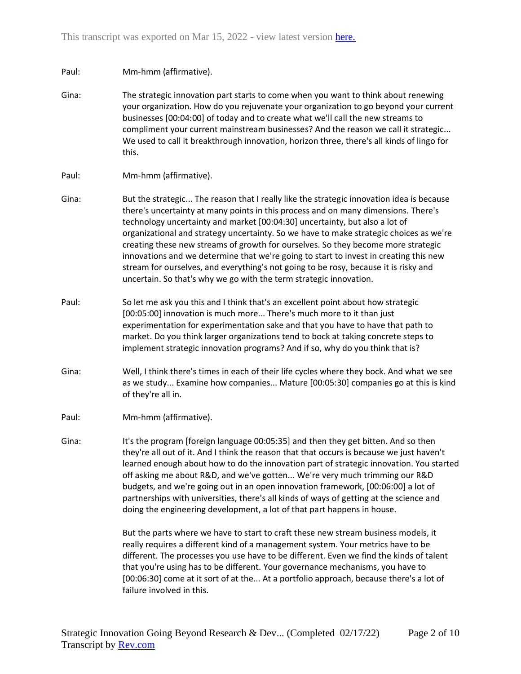## Paul: Mm-hmm (affirmative).

Gina: The strategic innovation part starts to come when you want to think about renewing your organization. How do you rejuvenate your organization to go beyond your current businesses [00:04:00] of today and to create what we'll call the new streams to compliment your current mainstream businesses? And the reason we call it strategic... We used to call it breakthrough innovation, horizon three, there's all kinds of lingo for this.

## Paul: Mm-hmm (affirmative).

- Gina: But the strategic... The reason that I really like the strategic innovation idea is because there's uncertainty at many points in this process and on many dimensions. There's technology uncertainty and market [00:04:30] uncertainty, but also a lot of organizational and strategy uncertainty. So we have to make strategic choices as we're creating these new streams of growth for ourselves. So they become more strategic innovations and we determine that we're going to start to invest in creating this new stream for ourselves, and everything's not going to be rosy, because it is risky and uncertain. So that's why we go with the term strategic innovation.
- Paul: So let me ask you this and I think that's an excellent point about how strategic [00:05:00] innovation is much more... There's much more to it than just experimentation for experimentation sake and that you have to have that path to market. Do you think larger organizations tend to bock at taking concrete steps to implement strategic innovation programs? And if so, why do you think that is?
- Gina: Well, I think there's times in each of their life cycles where they bock. And what we see as we study... Examine how companies... Mature [00:05:30] companies go at this is kind of they're all in.
- Paul: Mm-hmm (affirmative).
- Gina: It's the program [foreign language 00:05:35] and then they get bitten. And so then they're all out of it. And I think the reason that that occurs is because we just haven't learned enough about how to do the innovation part of strategic innovation. You started off asking me about R&D, and we've gotten... We're very much trimming our R&D budgets, and we're going out in an open innovation framework, [00:06:00] a lot of partnerships with universities, there's all kinds of ways of getting at the science and doing the engineering development, a lot of that part happens in house.

But the parts where we have to start to craft these new stream business models, it really requires a different kind of a management system. Your metrics have to be different. The processes you use have to be different. Even we find the kinds of talent that you're using has to be different. Your governance mechanisms, you have to [00:06:30] come at it sort of at the... At a portfolio approach, because there's a lot of failure involved in this.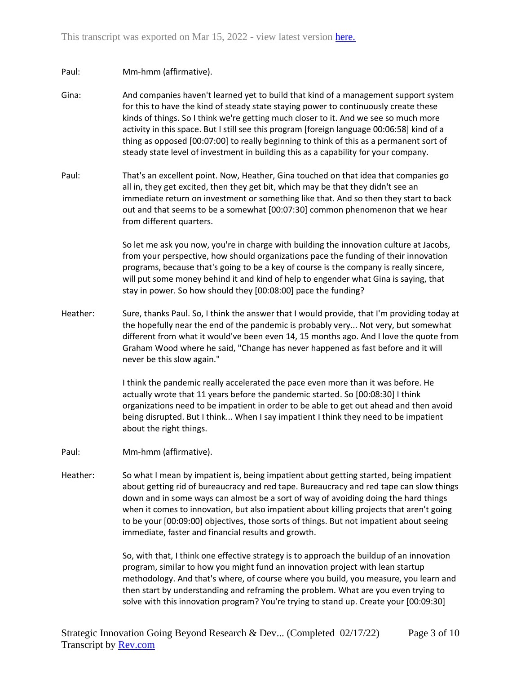## Paul: Mm-hmm (affirmative).

- Gina: And companies haven't learned yet to build that kind of a management support system for this to have the kind of steady state staying power to continuously create these kinds of things. So I think we're getting much closer to it. And we see so much more activity in this space. But I still see this program [foreign language 00:06:58] kind of a thing as opposed [00:07:00] to really beginning to think of this as a permanent sort of steady state level of investment in building this as a capability for your company.
- Paul: That's an excellent point. Now, Heather, Gina touched on that idea that companies go all in, they get excited, then they get bit, which may be that they didn't see an immediate return on investment or something like that. And so then they start to back out and that seems to be a somewhat [00:07:30] common phenomenon that we hear from different quarters.

So let me ask you now, you're in charge with building the innovation culture at Jacobs, from your perspective, how should organizations pace the funding of their innovation programs, because that's going to be a key of course is the company is really sincere, will put some money behind it and kind of help to engender what Gina is saying, that stay in power. So how should they [00:08:00] pace the funding?

Heather: Sure, thanks Paul. So, I think the answer that I would provide, that I'm providing today at the hopefully near the end of the pandemic is probably very... Not very, but somewhat different from what it would've been even 14, 15 months ago. And I love the quote from Graham Wood where he said, "Change has never happened as fast before and it will never be this slow again."

> I think the pandemic really accelerated the pace even more than it was before. He actually wrote that 11 years before the pandemic started. So [00:08:30] I think organizations need to be impatient in order to be able to get out ahead and then avoid being disrupted. But I think... When I say impatient I think they need to be impatient about the right things.

- Paul: Mm-hmm (affirmative).
- Heather: So what I mean by impatient is, being impatient about getting started, being impatient about getting rid of bureaucracy and red tape. Bureaucracy and red tape can slow things down and in some ways can almost be a sort of way of avoiding doing the hard things when it comes to innovation, but also impatient about killing projects that aren't going to be your [00:09:00] objectives, those sorts of things. But not impatient about seeing immediate, faster and financial results and growth.

So, with that, I think one effective strategy is to approach the buildup of an innovation program, similar to how you might fund an innovation project with lean startup methodology. And that's where, of course where you build, you measure, you learn and then start by understanding and reframing the problem. What are you even trying to solve with this innovation program? You're trying to stand up. Create your [00:09:30]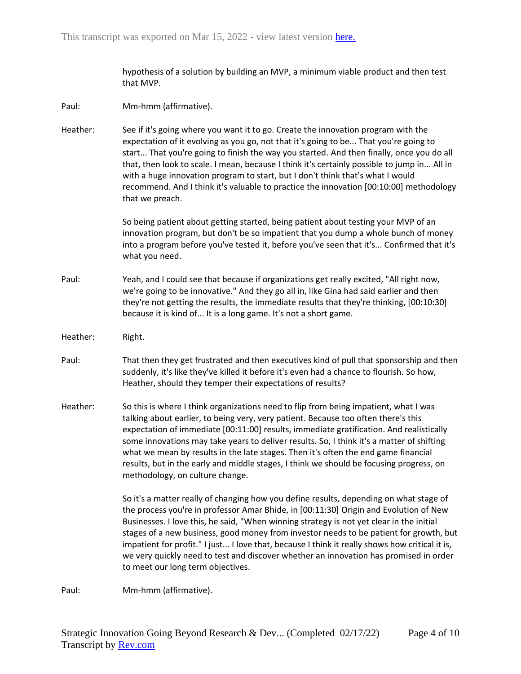hypothesis of a solution by building an MVP, a minimum viable product and then test that MVP.

- Paul: Mm-hmm (affirmative).
- Heather: See if it's going where you want it to go. Create the innovation program with the expectation of it evolving as you go, not that it's going to be... That you're going to start... That you're going to finish the way you started. And then finally, once you do all that, then look to scale. I mean, because I think it's certainly possible to jump in... All in with a huge innovation program to start, but I don't think that's what I would recommend. And I think it's valuable to practice the innovation [00:10:00] methodology that we preach.

So being patient about getting started, being patient about testing your MVP of an innovation program, but don't be so impatient that you dump a whole bunch of money into a program before you've tested it, before you've seen that it's... Confirmed that it's what you need.

- Paul: Yeah, and I could see that because if organizations get really excited, "All right now, we're going to be innovative." And they go all in, like Gina had said earlier and then they're not getting the results, the immediate results that they're thinking, [00:10:30] because it is kind of... It is a long game. It's not a short game.
- Heather: Right.
- Paul: That then they get frustrated and then executives kind of pull that sponsorship and then suddenly, it's like they've killed it before it's even had a chance to flourish. So how, Heather, should they temper their expectations of results?
- Heather: So this is where I think organizations need to flip from being impatient, what I was talking about earlier, to being very, very patient. Because too often there's this expectation of immediate [00:11:00] results, immediate gratification. And realistically some innovations may take years to deliver results. So, I think it's a matter of shifting what we mean by results in the late stages. Then it's often the end game financial results, but in the early and middle stages, I think we should be focusing progress, on methodology, on culture change.

So it's a matter really of changing how you define results, depending on what stage of the process you're in professor Amar Bhide, in [00:11:30] Origin and Evolution of New Businesses. I love this, he said, "When winning strategy is not yet clear in the initial stages of a new business, good money from investor needs to be patient for growth, but impatient for profit." I just... I love that, because I think it really shows how critical it is, we very quickly need to test and discover whether an innovation has promised in order to meet our long term objectives.

Paul: Mm-hmm (affirmative).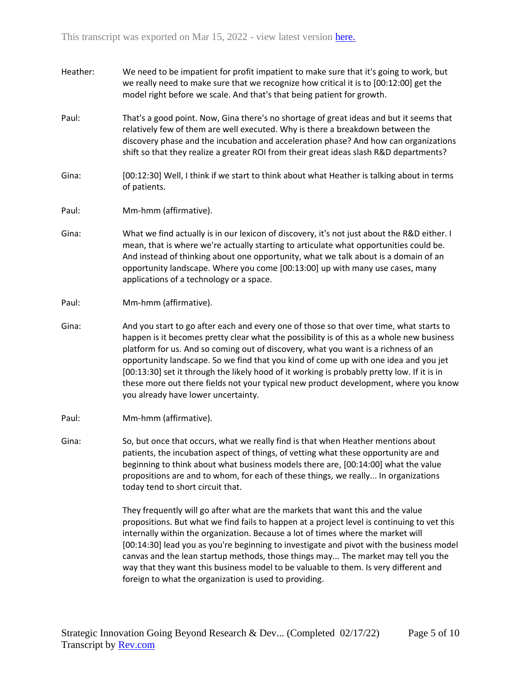- Heather: We need to be impatient for profit impatient to make sure that it's going to work, but we really need to make sure that we recognize how critical it is to [00:12:00] get the model right before we scale. And that's that being patient for growth.
- Paul: That's a good point. Now, Gina there's no shortage of great ideas and but it seems that relatively few of them are well executed. Why is there a breakdown between the discovery phase and the incubation and acceleration phase? And how can organizations shift so that they realize a greater ROI from their great ideas slash R&D departments?
- Gina: [00:12:30] Well, I think if we start to think about what Heather is talking about in terms of patients.
- Paul: Mm-hmm (affirmative).
- Gina: What we find actually is in our lexicon of discovery, it's not just about the R&D either. I mean, that is where we're actually starting to articulate what opportunities could be. And instead of thinking about one opportunity, what we talk about is a domain of an opportunity landscape. Where you come [00:13:00] up with many use cases, many applications of a technology or a space.
- Paul: Mm-hmm (affirmative).
- Gina: And you start to go after each and every one of those so that over time, what starts to happen is it becomes pretty clear what the possibility is of this as a whole new business platform for us. And so coming out of discovery, what you want is a richness of an opportunity landscape. So we find that you kind of come up with one idea and you jet [00:13:30] set it through the likely hood of it working is probably pretty low. If it is in these more out there fields not your typical new product development, where you know you already have lower uncertainty.
- Paul: Mm-hmm (affirmative).
- Gina: So, but once that occurs, what we really find is that when Heather mentions about patients, the incubation aspect of things, of vetting what these opportunity are and beginning to think about what business models there are, [00:14:00] what the value propositions are and to whom, for each of these things, we really... In organizations today tend to short circuit that.

They frequently will go after what are the markets that want this and the value propositions. But what we find fails to happen at a project level is continuing to vet this internally within the organization. Because a lot of times where the market will [00:14:30] lead you as you're beginning to investigate and pivot with the business model canvas and the lean startup methods, those things may... The market may tell you the way that they want this business model to be valuable to them. Is very different and foreign to what the organization is used to providing.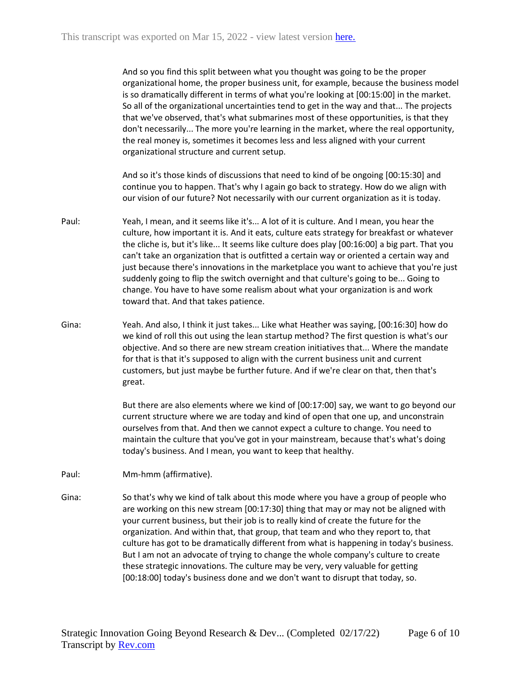And so you find this split between what you thought was going to be the proper organizational home, the proper business unit, for example, because the business model is so dramatically different in terms of what you're looking at [00:15:00] in the market. So all of the organizational uncertainties tend to get in the way and that... The projects that we've observed, that's what submarines most of these opportunities, is that they don't necessarily... The more you're learning in the market, where the real opportunity, the real money is, sometimes it becomes less and less aligned with your current organizational structure and current setup.

And so it's those kinds of discussions that need to kind of be ongoing [00:15:30] and continue you to happen. That's why I again go back to strategy. How do we align with our vision of our future? Not necessarily with our current organization as it is today.

- Paul: Yeah, I mean, and it seems like it's... A lot of it is culture. And I mean, you hear the culture, how important it is. And it eats, culture eats strategy for breakfast or whatever the cliche is, but it's like... It seems like culture does play [00:16:00] a big part. That you can't take an organization that is outfitted a certain way or oriented a certain way and just because there's innovations in the marketplace you want to achieve that you're just suddenly going to flip the switch overnight and that culture's going to be... Going to change. You have to have some realism about what your organization is and work toward that. And that takes patience.
- Gina: Yeah. And also, I think it just takes... Like what Heather was saying, [00:16:30] how do we kind of roll this out using the lean startup method? The first question is what's our objective. And so there are new stream creation initiatives that... Where the mandate for that is that it's supposed to align with the current business unit and current customers, but just maybe be further future. And if we're clear on that, then that's great.

But there are also elements where we kind of [00:17:00] say, we want to go beyond our current structure where we are today and kind of open that one up, and unconstrain ourselves from that. And then we cannot expect a culture to change. You need to maintain the culture that you've got in your mainstream, because that's what's doing today's business. And I mean, you want to keep that healthy.

Paul: Mm-hmm (affirmative).

Gina: So that's why we kind of talk about this mode where you have a group of people who are working on this new stream [00:17:30] thing that may or may not be aligned with your current business, but their job is to really kind of create the future for the organization. And within that, that group, that team and who they report to, that culture has got to be dramatically different from what is happening in today's business. But I am not an advocate of trying to change the whole company's culture to create these strategic innovations. The culture may be very, very valuable for getting [00:18:00] today's business done and we don't want to disrupt that today, so.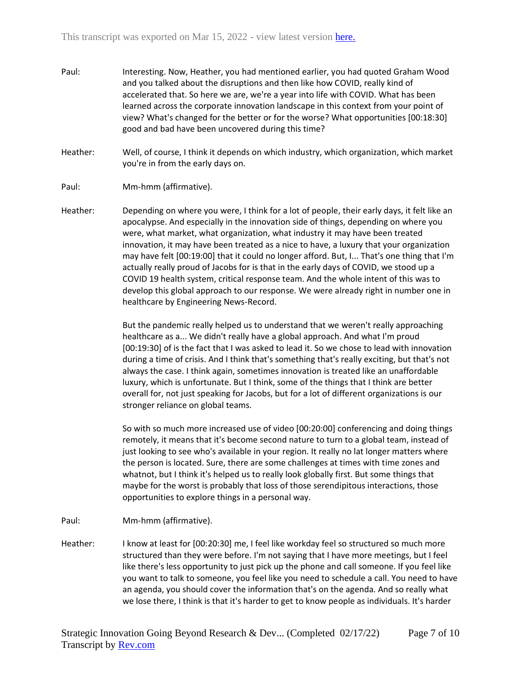- Paul: Interesting. Now, Heather, you had mentioned earlier, you had quoted Graham Wood and you talked about the disruptions and then like how COVID, really kind of accelerated that. So here we are, we're a year into life with COVID. What has been learned across the corporate innovation landscape in this context from your point of view? What's changed for the better or for the worse? What opportunities [00:18:30] good and bad have been uncovered during this time?
- Heather: Well, of course, I think it depends on which industry, which organization, which market you're in from the early days on.
- Paul: Mm-hmm (affirmative).
- Heather: Depending on where you were, I think for a lot of people, their early days, it felt like an apocalypse. And especially in the innovation side of things, depending on where you were, what market, what organization, what industry it may have been treated innovation, it may have been treated as a nice to have, a luxury that your organization may have felt [00:19:00] that it could no longer afford. But, I... That's one thing that I'm actually really proud of Jacobs for is that in the early days of COVID, we stood up a COVID 19 health system, critical response team. And the whole intent of this was to develop this global approach to our response. We were already right in number one in healthcare by Engineering News-Record.

But the pandemic really helped us to understand that we weren't really approaching healthcare as a... We didn't really have a global approach. And what I'm proud [00:19:30] of is the fact that I was asked to lead it. So we chose to lead with innovation during a time of crisis. And I think that's something that's really exciting, but that's not always the case. I think again, sometimes innovation is treated like an unaffordable luxury, which is unfortunate. But I think, some of the things that I think are better overall for, not just speaking for Jacobs, but for a lot of different organizations is our stronger reliance on global teams.

So with so much more increased use of video [00:20:00] conferencing and doing things remotely, it means that it's become second nature to turn to a global team, instead of just looking to see who's available in your region. It really no lat longer matters where the person is located. Sure, there are some challenges at times with time zones and whatnot, but I think it's helped us to really look globally first. But some things that maybe for the worst is probably that loss of those serendipitous interactions, those opportunities to explore things in a personal way.

- Paul: Mm-hmm (affirmative).
- Heather: I know at least for [00:20:30] me, I feel like workday feel so structured so much more structured than they were before. I'm not saying that I have more meetings, but I feel like there's less opportunity to just pick up the phone and call someone. If you feel like you want to talk to someone, you feel like you need to schedule a call. You need to have an agenda, you should cover the information that's on the agenda. And so really what we lose there, I think is that it's harder to get to know people as individuals. It's harder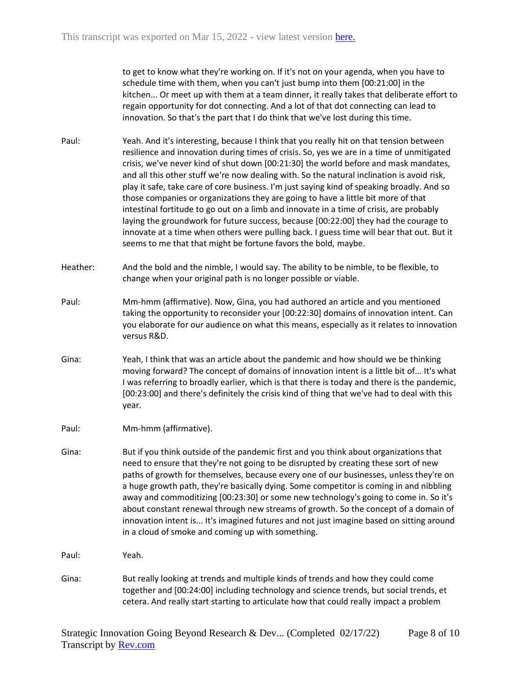to get to know what they're working on. If it's not on your agenda, when you have to schedule time with them, when you can't just bump into them [00:21:00] in the kitchen... Or meet up with them at a team dinner, it really takes that deliberate effort to regain opportunity for dot connecting. And a lot of that dot connecting can lead to innovation. So that's the part that I do think that we've lost during this time.

- Paul: Yeah. And it's interesting, because I think that you really hit on that tension between resilience and innovation during times of crisis. So, yes we are in a time of unmitigated crisis, we've never kind of shut down [00:21:30] the world before and mask mandates, and all this other stuff we're now dealing with. So the natural inclination is avoid risk, play it safe, take care of core business. I'm just saying kind of speaking broadly. And so those companies or organizations they are going to have a little bit more of that intestinal fortitude to go out on a limb and innovate in a time of crisis, are probably laying the groundwork for future success, because [00:22:00] they had the courage to innovate at a time when others were pulling back. I guess time will bear that out. But it seems to me that that might be fortune favors the bold, maybe.
- Heather: And the bold and the nimble, I would say. The ability to be nimble, to be flexible, to change when your original path is no longer possible or viable.
- Paul: Mm-hmm (affirmative). Now, Gina, you had authored an article and you mentioned taking the opportunity to reconsider your [00:22:30] domains of innovation intent. Can you elaborate for our audience on what this means, especially as it relates to innovation versus R&D.
- Gina: Yeah, I think that was an article about the pandemic and how should we be thinking moving forward? The concept of domains of innovation intent is a little bit of... It's what I was referring to broadly earlier, which is that there is today and there is the pandemic, [00:23:00] and there's definitely the crisis kind of thing that we've had to deal with this year.
- Paul: Mm-hmm (affirmative).
- Gina: But if you think outside of the pandemic first and you think about organizations that need to ensure that they're not going to be disrupted by creating these sort of new paths of growth for themselves, because every one of our businesses, unless they're on a huge growth path, they're basically dying. Some competitor is coming in and nibbling away and commoditizing [00:23:30] or some new technology's going to come in. So it's about constant renewal through new streams of growth. So the concept of a domain of innovation intent is... It's imagined futures and not just imagine based on sitting around in a cloud of smoke and coming up with something.
- Paul: Yeah.
- Gina: But really looking at trends and multiple kinds of trends and how they could come together and [00:24:00] including technology and science trends, but social trends, et cetera. And really start starting to articulate how that could really impact a problem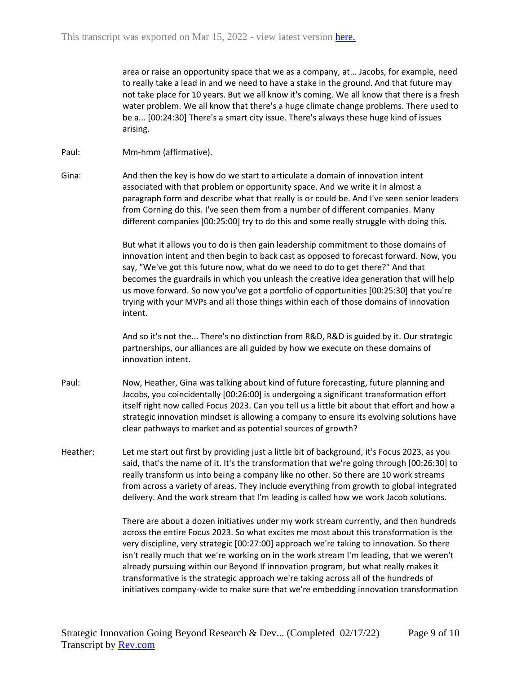area or raise an opportunity space that we as a company, at... Jacobs, for example, need to really take a lead in and we need to have a stake in the ground. And that future may not take place for 10 years. But we all know it's coming. We all know that there is a fresh water problem. We all know that there's a huge climate change problems. There used to be a... [00:24:30] There's a smart city issue. There's always these huge kind of issues arising.

- Paul: Mm-hmm (affirmative).
- Gina: And then the key is how do we start to articulate a domain of innovation intent associated with that problem or opportunity space. And we write it in almost a paragraph form and describe what that really is or could be. And I've seen senior leaders from Corning do this. I've seen them from a number of different companies. Many different companies [00:25:00] try to do this and some really struggle with doing this.

But what it allows you to do is then gain leadership commitment to those domains of innovation intent and then begin to back cast as opposed to forecast forward. Now, you say, "We've got this future now, what do we need to do to get there?" And that becomes the guardrails in which you unleash the creative idea generation that will help us move forward. So now you've got a portfolio of opportunities [00:25:30] that you're trying with your MVPs and all those things within each of those domains of innovation intent.

And so it's not the... There's no distinction from R&D, R&D is guided by it. Our strategic partnerships, our alliances are all guided by how we execute on these domains of innovation intent.

- Paul: Now, Heather, Gina was talking about kind of future forecasting, future planning and Jacobs, you coincidentally [00:26:00] is undergoing a significant transformation effort itself right now called Focus 2023. Can you tell us a little bit about that effort and how a strategic innovation mindset is allowing a company to ensure its evolving solutions have clear pathways to market and as potential sources of growth?
- Heather: Let me start out first by providing just a little bit of background, it's Focus 2023, as you said, that's the name of it. It's the transformation that we're going through [00:26:30] to really transform us into being a company like no other. So there are 10 work streams from across a variety of areas. They include everything from growth to global integrated delivery. And the work stream that I'm leading is called how we work Jacob solutions.

There are about a dozen initiatives under my work stream currently, and then hundreds across the entire Focus 2023. So what excites me most about this transformation is the very discipline, very strategic [00:27:00] approach we're taking to innovation. So there isn't really much that we're working on in the work stream I'm leading, that we weren't already pursuing within our Beyond If innovation program, but what really makes it transformative is the strategic approach we're taking across all of the hundreds of initiatives company-wide to make sure that we're embedding innovation transformation